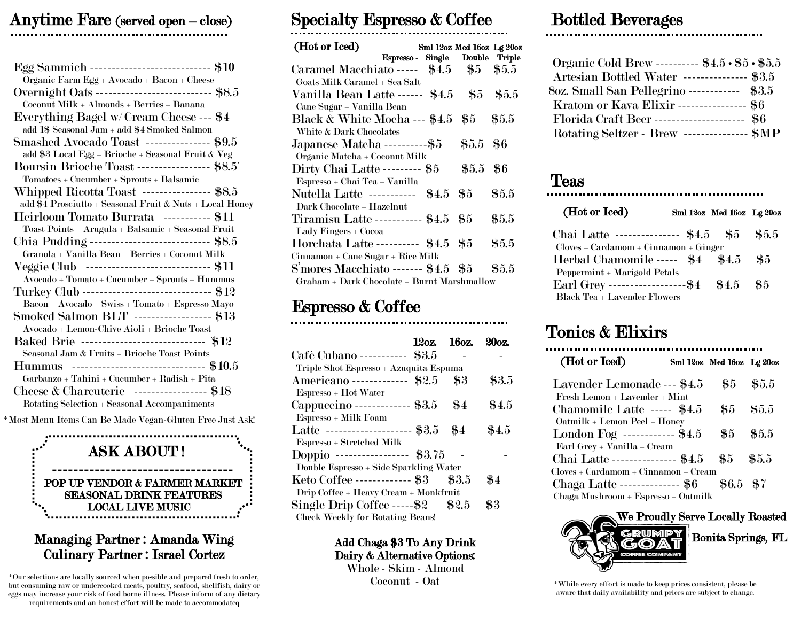## Anytime Fare (served open – close)  $\ddot{\phantom{0}}$

| Egg Sammich ----------------------------- \$10                                                                                                                                       |
|--------------------------------------------------------------------------------------------------------------------------------------------------------------------------------------|
| Organic Farm Egg + Avocado + Bacon + Cheese<br>Overnight Oats ----------------------------- \$8.5                                                                                    |
| Coconut Milk + Almonds + Berries + Banana                                                                                                                                            |
| Everything Bagel w/Cream Cheese --- \$4                                                                                                                                              |
| add 1\$ Seasonal Jam + add \$4 Smoked Salmon                                                                                                                                         |
| Smashed Avocado Toast --------------- \$9.5                                                                                                                                          |
| add \$3 Local Egg + Brioche + Seasonal Fruit & Veg                                                                                                                                   |
| Boursin Brioche Toast ----------------- \$8.5<br>$\bf Tomatoes + Cucumber + Sprouts + Balsamic$                                                                                      |
| Whipped Ricotta Toast ---------------- \$8.5                                                                                                                                         |
| add \$4 Prosciutto + Seasonal Fruit & Nuts + Local Honey                                                                                                                             |
| Heirloom Tomato Burrata ----------- \$11                                                                                                                                             |
| Toast Points + Arugula + Balsamic + Seasonal Fruit                                                                                                                                   |
| Chia Pudding ---------------------------- \$8.5                                                                                                                                      |
| Granola + Vanilla Bean + Berries + Coconut Milk                                                                                                                                      |
| Veggie Club ------------------------------ \$11                                                                                                                                      |
| $\boldsymbol{A} vocado + Tomato + Cucumber + Sprouts + Hummus$                                                                                                                       |
| Turkey Club -------------------------------- \$12                                                                                                                                    |
| $\begin{array}{lcl} \textbf{Bacon} + \textbf{Avocado} + \textbf{Swiss} + \textbf{Tomato} + \textbf{Espresso} \textbf{Mayo} \end{array}$<br>Smoked Salmon BLT ------------------ \$13 |
| Avocado + Lemon-Chive Aioli + Brioche Toast                                                                                                                                          |
| Baked Brie ------------------------------- \$12                                                                                                                                      |
| Seasonal Jam & Fruits + Brioche Toast Points                                                                                                                                         |
| --------------------------------- \$10.5<br><b>Hummus</b>                                                                                                                            |
| Garbanzo + Tahini + Cucumber + Radish + Pita                                                                                                                                         |
| Cheese & Charcuterie ----------------- \$18                                                                                                                                          |
| Rotating Selection + Seasonal Accompaniments                                                                                                                                         |

\*Most Menu Items Can Be Made Vegan-Gluten Free Just Ask!



### Managing Partner : Amanda Wing Culinary Partner : Israel Cortez

\*Our selections are locally sourced when possible and prepared fresh to order, but consuming raw or undercooked meats, poultry, seafood, shellfish, dairy or eggs may increase your risk of food borne illness. Please inform of any dietary requirements and an honest effort will be made to accommodateq

## Specialty Espresso & Coffee

| (Hot or Iced)<br>Espresso - Single Double Triple | Sml 12oz Med 16oz Lg 20oz |         |
|--------------------------------------------------|---------------------------|---------|
| Caramel Macchiato ----- $$4.5$ $$5$ $$5.5$       |                           |         |
| Goats Milk Caramel + Sea Salt                    |                           |         |
| Vanilla Bean Latte ------ \$4.5 \$5 \$5.5        |                           |         |
| Cane Sugar + Vanilla Bean                        |                           |         |
| Black & White Mocha --- \$4.5 \$5 \$5.5          |                           |         |
| White & Dark Chocolates                          |                           |         |
| Japanese Matcha -----------\$5                   | \$5.5 \$6                 |         |
| Organic Matcha + Coconut Milk                    |                           |         |
| Dirty Chai Latte --------- \$5                   | \$5.5 \$6                 |         |
| Espresso + Chai Tea + Vanilla                    |                           |         |
| Nutella Latte ----------- \$4.5 \$5              |                           | $\$5.5$ |
| Dark Chocolate + Hazelnut                        |                           |         |
| Tiramisu Latte ----------- \$4.5 \$5             |                           | $\$5.5$ |
| Lady Fingers + Cocoa                             |                           |         |
| Horchata Latte ---------- \$4.5 \$5              |                           | $\$5.5$ |
| Cinnamon + Cane Sugar + Rice Milk                |                           |         |
| $\mathrm{S}$ mores Macchiato ------- \$4.5 \$5   |                           | $\$5.5$ |
| Graham + Dark Chocolate + Burnt Marshmallow      |                           |         |
|                                                  |                           |         |

## Espresso & Coffee

|                                         | 120z. 160z. |                | 20oz.   |
|-----------------------------------------|-------------|----------------|---------|
| Café Cubano ----------- \$3.5           |             |                |         |
| Triple Shot Espresso + Azuquita Espuma  |             |                |         |
| Americano ------------- \$2.5           |             | \$3            | \$3.5   |
| Espresso + Hot Water                    |             |                |         |
| Cappuccino ------------- \$3.5          |             | $\frac{1}{20}$ | $\$4.5$ |
| Espresso + Milk Foam                    |             |                |         |
| Latte -------------------- \$3.5        |             | $\$4$          | \$4.5   |
| Espresso + Stretched Milk               |             |                |         |
| Doppio ----------------- \$3.75         |             |                |         |
| Double Espresso + Side Sparkling Water  |             |                |         |
| Keto Coffee ------------- \$3           |             | $\$3.5$        | $\$4$   |
| Drip Coffee + Heavy Cream + Monkfruit   |             |                |         |
| Single Drip Coffee ------\$2 $$2.5$     |             |                | \$3     |
| <b>Check Weekly for Rotating Beans!</b> |             |                |         |
|                                         |             |                |         |

#### Add Chaga \$3 To Any Drink Dairy & Alternative Options:

Whole - Skim - Almond Coconut - Oat

### Bottled Beverages .

| Organic Cold Brew ---------- \$4.5 · \$5 · \$5.5 |  |
|--------------------------------------------------|--|
| Artesian Bottled Water --------------- \$3.5     |  |
| 80z. Small San Pellegrino ------------ \$3.5     |  |
| Kratom or Kava Elixir ----------------- \$6      |  |
| Florida Craft Beer --------------------- \$6     |  |
| Rotating Seltzer - Brew --------------- \$MP     |  |

# Teas

#### (Hot or Iced) Sml 12oz Med 16oz Lg 20oz

| Chai Latte --------------- \$4.5 \$5               | $\$5.5$ |
|----------------------------------------------------|---------|
| $Cloves + Cardamom + Cinnamon + Ginger$            |         |
| Herbal Chamomile ----- \$4 \$4.5                   | -85     |
| Peppermint + Marigold Petals                       |         |
| Earl Grey -------------------------- \$4 \$4.5 \$5 |         |
| Black Tea + Lavender Flowers                       |         |

# Tonics & Elixirs

| (Hot or Iced)                                                              | Sml 12oz Med 16oz Lg 20oz |         |
|----------------------------------------------------------------------------|---------------------------|---------|
| Lavender Lemonade --- \$4.5<br>Fresh Lemon + Lavender + Mint               | $\$5$                     | $\$5.5$ |
| Chamomile Latte ----- \$4.5<br>Oatmilk + Lemon Peel + Honey                | 85.                       | $\$5.5$ |
| London Fog ------------ \$4.5<br>Earl Grey + Vanilla + Cream               | $\pmb{\Re}5$              | $\$5.5$ |
| Chai Latte --------------- \$4.5<br>$Cloves + Cardamom + Cinnamon + Cream$ | -85                       | $\$5.5$ |
| Chaga Latte -------------- \$6<br>Chaga Mushroom + Espresso + Oatmilk      | \$6.5 \$7                 |         |



\*While every effort is made to keep prices consistent, please be aware that daily availability and prices are subject to change.